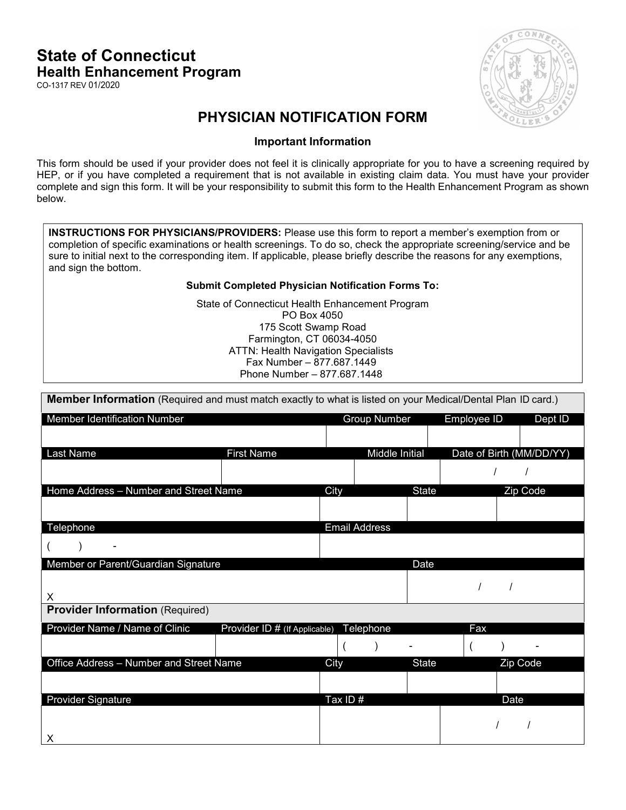## State of Connecticut Health Enhancement Program

CO-1317 REV 01/2020



## PHYSICIAN NOTIFICATION FORM

## Important Information

This form should be used if your provider does not feel it is clinically appropriate for you to have a screening required by HEP, or if you have completed a requirement that is not available in existing claim data. You must have your provider complete and sign this form. It will be your responsibility to submit this form to the Health Enhancement Program as shown below.

INSTRUCTIONS FOR PHYSICIANS/PROVIDERS: Please use this form to report a member's exemption from or completion of specific examinations or health screenings. To do so, check the appropriate screening/service and be sure to initial next to the corresponding item. If applicable, please briefly describe the reasons for any exemptions, and sign the bottom.

## Submit Completed Physician Notification Forms To:

State of Connecticut Health Enhancement Program PO Box 4050 175 Scott Swamp Road Farmington, CT 06034-4050 ATTN: Health Navigation Specialists Fax Number – 877.687.1449 Phone Number – 877.687.1448

|  |  |  |  | <b>Member Information</b> (Required and must match exactly to what is listed on your Medical/Dental Plan ID card.) |
|--|--|--|--|--------------------------------------------------------------------------------------------------------------------|
|--|--|--|--|--------------------------------------------------------------------------------------------------------------------|

| Member Identification Number            |                               |         | <b>Group Number</b>  |              | Employee ID |          | Dept ID                  |
|-----------------------------------------|-------------------------------|---------|----------------------|--------------|-------------|----------|--------------------------|
|                                         |                               |         |                      |              |             |          |                          |
| Last Name                               | <b>First Name</b>             |         | Middle Initial       |              |             |          | Date of Birth (MM/DD/YY) |
|                                         |                               |         |                      |              |             |          |                          |
| Home Address - Number and Street Name   |                               | City    |                      | <b>State</b> |             |          | Zip Code                 |
|                                         |                               |         |                      |              |             |          |                          |
| Telephone                               |                               |         | <b>Email Address</b> |              |             |          |                          |
|                                         |                               |         |                      |              |             |          |                          |
| Member or Parent/Guardian Signature     |                               |         |                      | Date         |             |          |                          |
| X                                       |                               |         |                      |              |             |          |                          |
| <b>Provider Information (Required)</b>  |                               |         |                      |              |             |          |                          |
| Provider Name / Name of Clinic          | Provider ID # (If Applicable) |         | Telephone            |              | Fax         |          |                          |
|                                         |                               |         |                      |              |             |          |                          |
| Office Address - Number and Street Name |                               | City    |                      | <b>State</b> |             | Zip Code |                          |
|                                         |                               |         |                      |              |             |          |                          |
| <b>Provider Signature</b>               |                               | Tax ID# |                      |              |             | Date     |                          |
|                                         |                               |         |                      |              |             |          |                          |
| X                                       |                               |         |                      |              |             |          |                          |